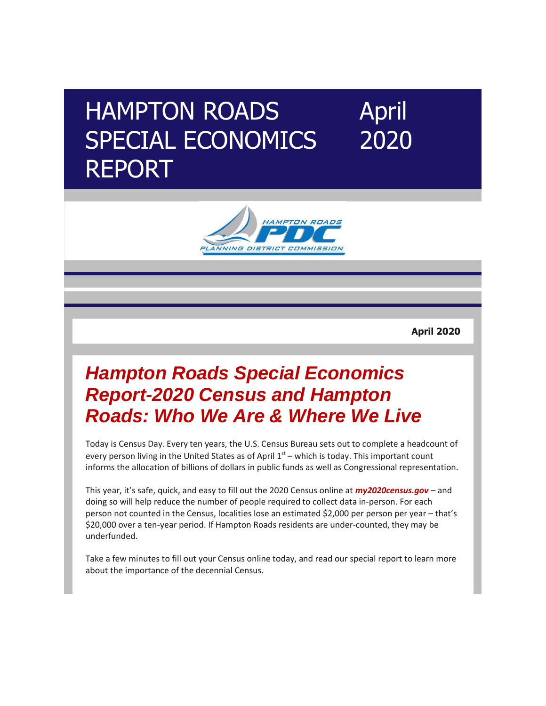## HAMPTON ROADS SPECIAL ECONOMICS REPORT April 2020



**April 2020**

## *[Hampton Roads Special Economics](http://r20.rs6.net/tn.jsp?f=001zRtjRYYQCz4xo5YpTOiKHQ8FIEzd89NZuu2Mge_XYtTqhNZNHfotYmY6-sRZPRf05170ZBCSUAUN6WmW5bJyrnOyLQl-dnR7zjQr5-OhI9EBoUPyGDIQMjYbe_ITYEbGmKa5jIX0e1HZEDCd-DPMpj99FpR3OVhF9301ILAft0SIwcSqW3iNgNcaTlnQ5iG6Zt20jumco5w=&c=rsZiNVnAuXNy6a-F44oxJAhoNiVxJBQoA8ax2pwFMHI1EOHDlBxDvQ==&ch=mvZHhdQ5uxwg1p-WaMQ1l7oNlhHCqiu62Z9LkBPvNvB-4jvo0HrLog==)  [Report-2020 Census and Hampton](http://r20.rs6.net/tn.jsp?f=001zRtjRYYQCz4xo5YpTOiKHQ8FIEzd89NZuu2Mge_XYtTqhNZNHfotYmY6-sRZPRf05170ZBCSUAUN6WmW5bJyrnOyLQl-dnR7zjQr5-OhI9EBoUPyGDIQMjYbe_ITYEbGmKa5jIX0e1HZEDCd-DPMpj99FpR3OVhF9301ILAft0SIwcSqW3iNgNcaTlnQ5iG6Zt20jumco5w=&c=rsZiNVnAuXNy6a-F44oxJAhoNiVxJBQoA8ax2pwFMHI1EOHDlBxDvQ==&ch=mvZHhdQ5uxwg1p-WaMQ1l7oNlhHCqiu62Z9LkBPvNvB-4jvo0HrLog==)  [Roads: Who We Are & Where We Live](http://r20.rs6.net/tn.jsp?f=001zRtjRYYQCz4xo5YpTOiKHQ8FIEzd89NZuu2Mge_XYtTqhNZNHfotYmY6-sRZPRf05170ZBCSUAUN6WmW5bJyrnOyLQl-dnR7zjQr5-OhI9EBoUPyGDIQMjYbe_ITYEbGmKa5jIX0e1HZEDCd-DPMpj99FpR3OVhF9301ILAft0SIwcSqW3iNgNcaTlnQ5iG6Zt20jumco5w=&c=rsZiNVnAuXNy6a-F44oxJAhoNiVxJBQoA8ax2pwFMHI1EOHDlBxDvQ==&ch=mvZHhdQ5uxwg1p-WaMQ1l7oNlhHCqiu62Z9LkBPvNvB-4jvo0HrLog==)*

Today is Census Day. Every ten years, the U.S. Census Bureau sets out to complete a headcount of every person living in the United States as of April  $1<sup>st</sup>$  – which is today. This important count informs the allocation of billions of dollars in public funds as well as Congressional representation.

This year, it's safe, quick, and easy to fill out the 2020 Census online at *[my2020census.gov](http://r20.rs6.net/tn.jsp?f=001zRtjRYYQCz4xo5YpTOiKHQ8FIEzd89NZuu2Mge_XYtTqhNZNHfotYmY6-sRZPRf01KrwOQfzcu6jjra4d9qioQC8_vxYvmHuz_s0S-WPxhy1FLbjtEJR_0T5oHKhU-teGyXSSLdvPYntRNYiDefzrg==&c=rsZiNVnAuXNy6a-F44oxJAhoNiVxJBQoA8ax2pwFMHI1EOHDlBxDvQ==&ch=mvZHhdQ5uxwg1p-WaMQ1l7oNlhHCqiu62Z9LkBPvNvB-4jvo0HrLog==)* – and doing so will help reduce the number of people required to collect data in-person. For each person not counted in the Census, localities lose an estimated \$2,000 per person per year – that's \$20,000 over a ten-year period. If Hampton Roads residents are under-counted, they may be underfunded.

Take a few minutes to fill out your Census online today, and read our special report to learn more about the importance of the decennial Census.